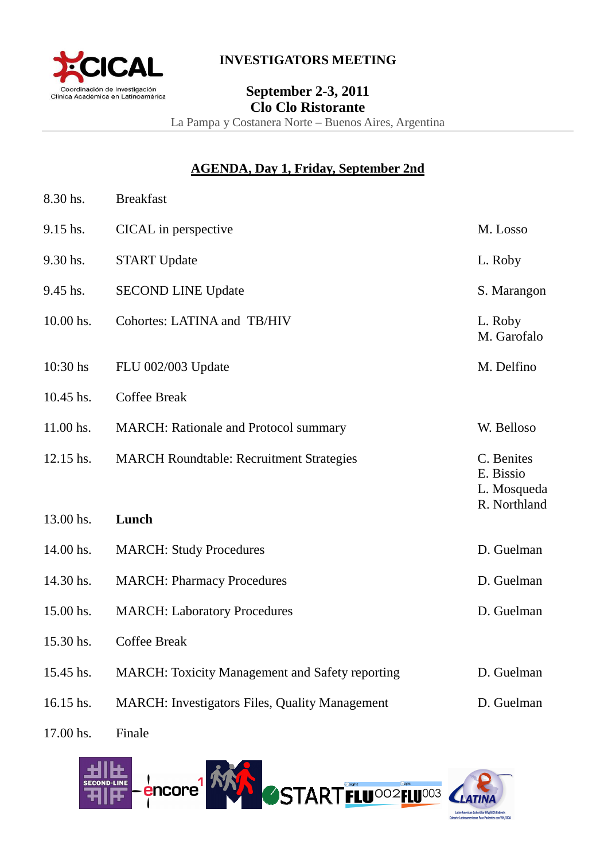

### **INVESTIGATORS MEETING**

# **September 2-3, 2011 Clo Clo Ristorante**  La Pampa y Costanera Norte – Buenos Aires, Argentina

# **AGENDA, Day 1, Friday, September 2nd**

| 8.30 hs.   | <b>Breakfast</b>                                       |                                                        |
|------------|--------------------------------------------------------|--------------------------------------------------------|
| 9.15 hs.   | CICAL in perspective                                   | M. Losso                                               |
| 9.30 hs.   | <b>START Update</b>                                    | L. Roby                                                |
| 9.45 hs.   | <b>SECOND LINE Update</b>                              | S. Marangon                                            |
| 10.00 hs.  | Cohortes: LATINA and TB/HIV                            | L. Roby<br>M. Garofalo                                 |
| $10:30$ hs | FLU 002/003 Update                                     | M. Delfino                                             |
| 10.45 hs.  | <b>Coffee Break</b>                                    |                                                        |
| 11.00 hs.  | <b>MARCH:</b> Rationale and Protocol summary           | W. Belloso                                             |
| 12.15 hs.  | <b>MARCH Roundtable: Recruitment Strategies</b>        | C. Benites<br>E. Bissio<br>L. Mosqueda<br>R. Northland |
| 13.00 hs.  | Lunch                                                  |                                                        |
| 14.00 hs.  | <b>MARCH: Study Procedures</b>                         | D. Guelman                                             |
| 14.30 hs.  | <b>MARCH: Pharmacy Procedures</b>                      | D. Guelman                                             |
| 15.00 hs.  | <b>MARCH: Laboratory Procedures</b>                    | D. Guelman                                             |
| 15.30 hs.  | <b>Coffee Break</b>                                    |                                                        |
| 15.45 hs.  | <b>MARCH:</b> Toxicity Management and Safety reporting | D. Guelman                                             |
| 16.15 hs.  | <b>MARCH: Investigators Files, Quality Management</b>  | D. Guelman                                             |
|            |                                                        |                                                        |

17.00 hs. Finale